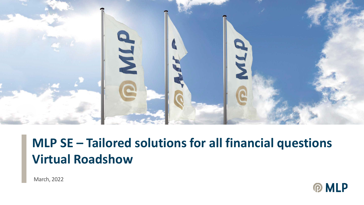

# **MLP SE – Tailored solutions for all financial questions Virtual Roadshow**

March, 2022

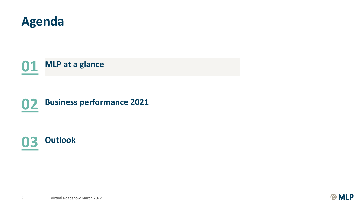

**MLP at a glance**

### **Business performance <sup>2021</sup>**



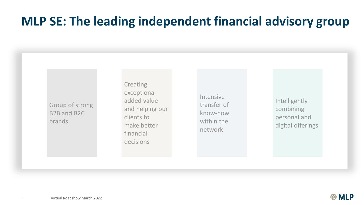#### **MLP SE: The leading independent financial advisory group**

Group of strong B2B and B2C brands

**Creating** exceptional added value and helping our clients to make better financial decisions

Intensive transfer of know-how within the network

Intelligently combining personal and digital offerings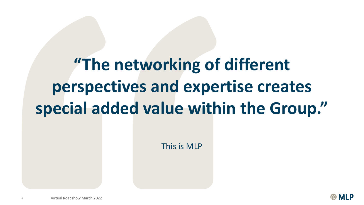# **"The networking of different perspectives and expertise creates special added value within the Group."**

This is MLP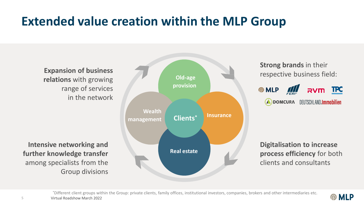### **Extended value creation within the MLP Group**

**Expansion of business relations** with growing range of services in the network

**Intensive networking and further knowledge transfer** among specialists from the Group divisions



**Strong brands** in their respective business field:



**Digitalisation to increase process efficiency** for both clients and consultants

**MLP** 

5 Virtual Roadshow March 2022 \*Different client groups within the Group: private clients, family offices, institutional investors, companies, brokers and other intermediaries etc.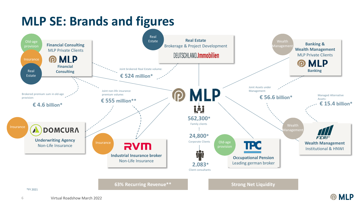### **MLP SE: Brands and figures**



\*FY 2021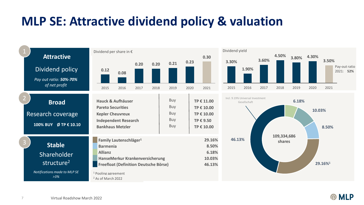### **MLP SE: Attractive dividend policy & valuation**



 $\Omega$ 

**MLP**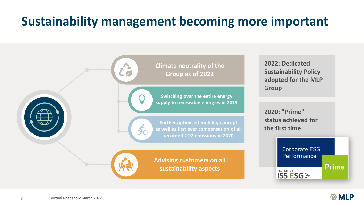# **Sustainability management becoming more important**



8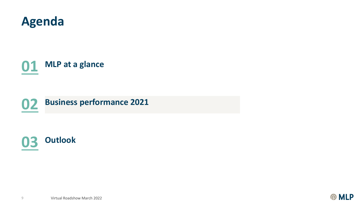

**MLP at a glance**





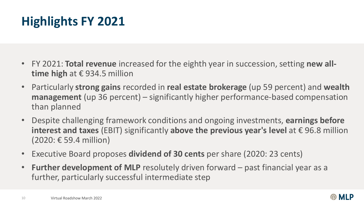# **Highlights FY 2021**

- FY 2021: **Total revenue** increased for the eighth year in succession, setting **new alltime high** at € 934.5 million
- Particularly **strong gains** recorded in **real estate brokerage** (up 59 percent) and **wealth management** (up 36 percent) – significantly higher performance-based compensation than planned
- Despite challenging framework conditions and ongoing investments, **earnings before interest and taxes** (EBIT) significantly **above the previous year's level** at € 96.8 million (2020: € 59.4 million)
- Executive Board proposes **dividend of 30 cents** per share (2020: 23 cents)
- **Further development of MLP** resolutely driven forward past financial year as a further, particularly successful intermediate step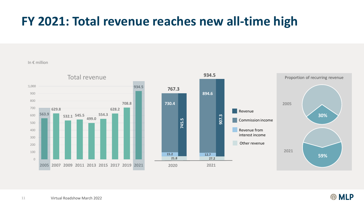## **FY 2021: Total revenue reaches new all-time high**

In € million





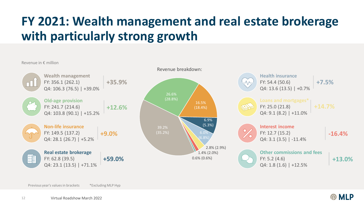# **FY 2021: Wealth management and real estate brokerage with particularly strong growth**

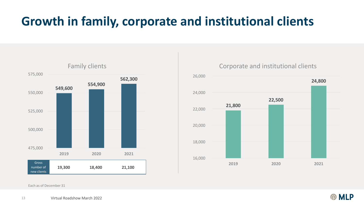# **Growth in family, corporate and institutional clients**



#### Corporate and institutional clients



Each as of December 31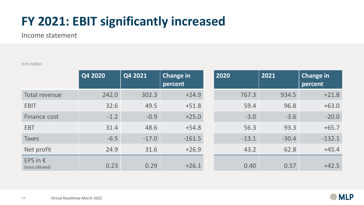### **FY 2021: EBIT significantly increased**

Income statement

In € million

|                                      | Q4 2020 | Q4 2021 | Change in<br>percent | 2020    | 2021    | Change in<br>percent |
|--------------------------------------|---------|---------|----------------------|---------|---------|----------------------|
| Total revenue                        | 242.0   | 302.3   | $+24.9$              | 767.3   | 934.5   | $+21.8$              |
| <b>EBIT</b>                          | 32.6    | 49.5    | $+51.8$              | 59.4    | 96.8    | $+63.0$              |
| Finance cost                         | $-1.2$  | $-0.9$  | $+25.0$              | $-3.0$  | $-3.6$  | $-20.0$              |
| <b>EBT</b>                           | 31.4    | 48.6    | $+54.8$              | 56.3    | 93.3    | $+65.7$              |
| <b>Taxes</b>                         | $-6.5$  | $-17.0$ | $-161.5$             | $-13.1$ | $-30.4$ | $-132.1$             |
| Net profit                           | 24.9    | 31.6    | $+26.9$              | 43.2    | 62.8    | $+45.4$              |
| EPS in $\epsilon$<br>(basic/diluted) | 0.23    | 0.29    | $+26.1$              | 0.40    | 0.57    | $+42.5$              |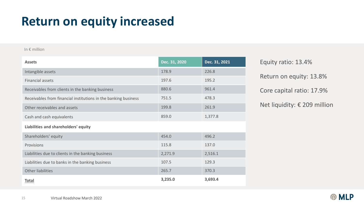#### **Return on equity increased**

#### In € million

| <b>Assets</b>                                                   | Dec. 31, 2020 | Dec. 31, 2021 |  |  |
|-----------------------------------------------------------------|---------------|---------------|--|--|
| Intangible assets                                               | 178.9         | 226.8         |  |  |
| <b>Financial assets</b>                                         | 197.6         | 195.2         |  |  |
| Receivables from clients in the banking business                | 880.6         | 961.4         |  |  |
| Receivables from financial institutions in the banking business | 751.5         | 478.3         |  |  |
| Other receivables and assets                                    | 199.8         | 261.9         |  |  |
| Cash and cash equivalents                                       | 859.0         | 1,377.8       |  |  |
| Liabilities and shareholders' equity                            |               |               |  |  |
| Shareholders' equity                                            | 454.0         | 496.2         |  |  |
| Provisions                                                      | 115.8         | 137.0         |  |  |
| Liabilities due to clients in the banking business              | 2,271.9       | 2,516.1       |  |  |
| Liabilities due to banks in the banking business                | 107.5         | 129.3         |  |  |
| Other liabilities                                               | 265.7         | 370.3         |  |  |
| <b>Total</b>                                                    | 3,235.0       | 3,693.4       |  |  |

Return on equity: 13.8% Equity ratio: 13.4% Core capital ratio: 17.9% Net liquidity: € 209 million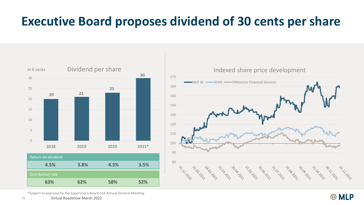#### **Executive Board proposes dividend of 30 cents per share**



Indexed share price development 170 MLP SE SDAX DAXsector Financial Services 160 150 140 130 120 110 100 90 80 **SILLING** a ta ta ta ta ta ta ta Ash Ash CONSIGIOS Assissant st. 10. 20. Le

\*Subject to approval by the Supervisory Board and Annual General Meeting.

16 Virtual Roadshow March 2022

**PMLP**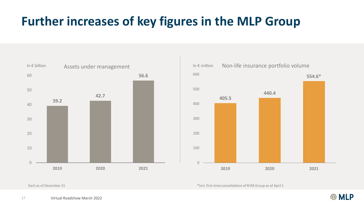# **Further increases of key figures in the MLP Group**





\*Incl. first-time consolidation of RVM Group as of April 1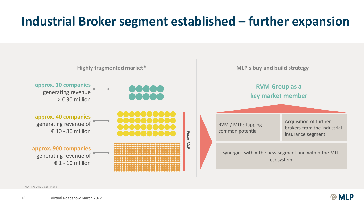# **Industrial Broker segment established – further expansion**



\*MLP's own estimate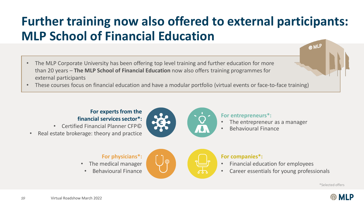# **Further training now also offered to external participants: MLP School of Financial Education**

- The MLP Corporate University has been offering top level training and further education for more than 20 years – **The MLP School of Financial Education** now also offers training programmes for external participants
- These courses focus on financial education and have a modular portfolio (virtual events or face-to-face training)

#### **For experts from the financial services sector\*:**

- Certified Financial Planner CFP©
- Real estate brokerage: theory and practice



**For entrepreneurs\*:**

- The entrepreneur as a manager
- Behavioural Finance

#### **For physicians\*:**

- The medical manager
- Behavioural Finance



#### **For companies\*:**

- Financial education for employees
- Career essentials for young professionals

\*Selected offers

**@MLF** 

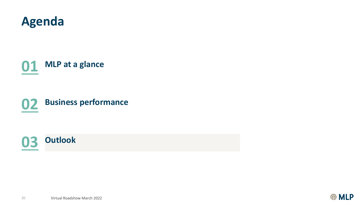

**MLP at a glance**

**Business performance**



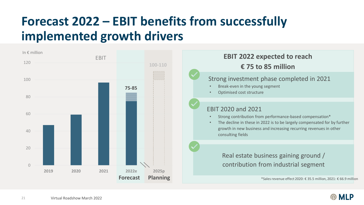# **Forecast 2022 – EBIT benefits from successfully implemented growth drivers**

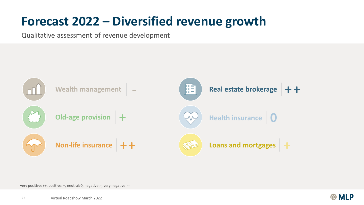### **Forecast 2022 – Diversified revenue growth**

Qualitative assessment of revenue development



very positive: ++, positive: +, neutral: 0, negative: -, very negative: --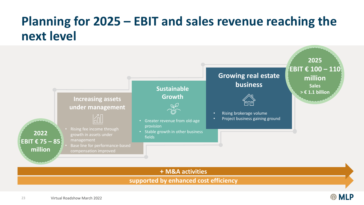### **Planning for 2025 – EBIT and sales revenue reaching the next level**



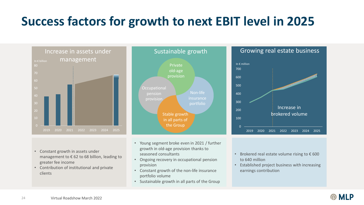# **Success factors for growth to next EBIT level in 2025**



- Constant growth in assets under management to € 62 to 68 billion, leading to greater fee income
- Contribution of institutional and private clients



- Young segment broke even in 2021 / further growth in old-age provision thanks to seasoned consultants
- Ongoing recovery in occupational pension provision
- Constant growth of the non-life insurance portfolio volume
- Sustainable growth in all parts of the Group





- Brokered real estate volume rising to  $\epsilon$  600 to 640 million
- Established project business with increasing earnings contribution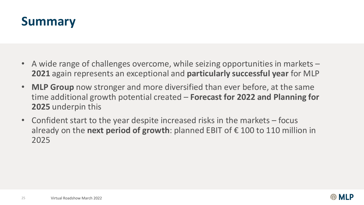#### **Summary**

- A wide range of challenges overcome, while seizing opportunities in markets **2021** again represents an exceptional and **particularly successful year** for MLP
- **MLP Group** now stronger and more diversified than ever before, at the same time additional growth potential created – **Forecast for 2022 and Planning for 2025** underpin this
- Confident start to the year despite increased risks in the markets focus already on the **next period of growth**: planned EBIT of € 100 to 110 million in 2025